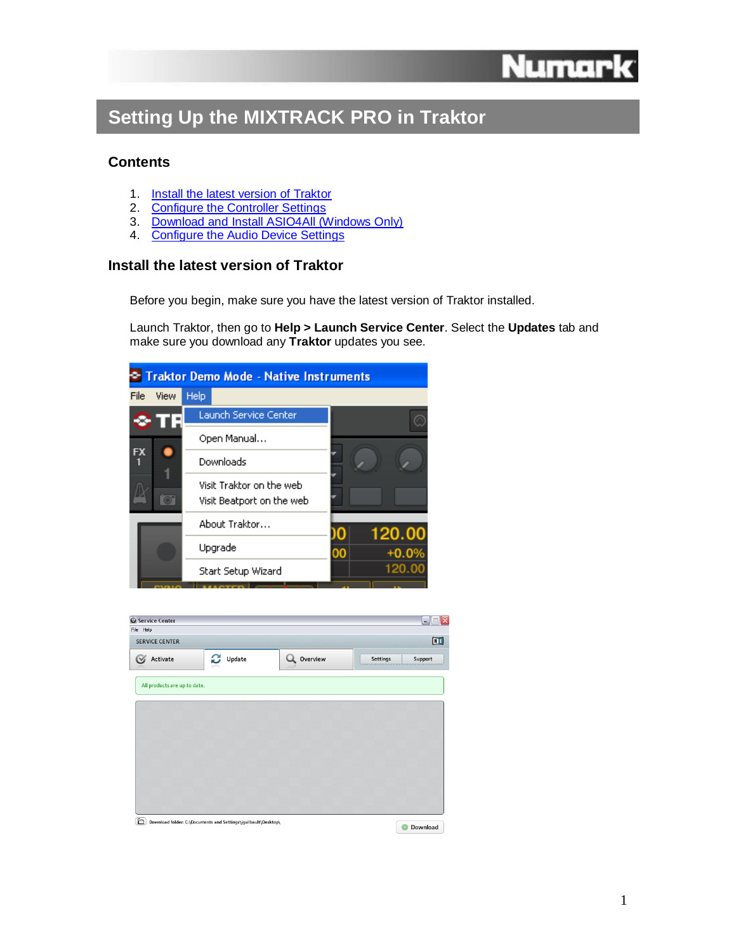

# **Setting Up the MIXTRACK PRO in Traktor**

# **Contents**

- 1. [Install the latest version of Traktor](#page-0-0)
- 2. [Configure the Controller Settings](#page-0-1)
- 3. [Download and Install ASIO4All \(Windows Only\)](#page-2-0)
- 4. [Configure the Audio Device Settings](#page-2-1)

# <span id="page-0-0"></span>**Install the latest version of Traktor**

Before you begin, make sure you have the latest version of Traktor installed.

Launch Traktor, then go to **Help > Launch Service Center**. Select the **Updates** tab and make sure you download any **Traktor** updates you see.



<span id="page-0-1"></span>

| <b>Service Center</b>              |                                                                |          |          | Σ<br>÷.        |
|------------------------------------|----------------------------------------------------------------|----------|----------|----------------|
| File Help<br><b>SERVICE CENTER</b> |                                                                |          |          | $\blacksquare$ |
| Activate                           | C<br>Update                                                    | Overview | Settings | Support        |
| All products are up to date.       |                                                                |          |          |                |
|                                    |                                                                |          |          |                |
|                                    |                                                                |          |          |                |
|                                    |                                                                |          |          |                |
|                                    |                                                                |          |          |                |
|                                    |                                                                |          |          |                |
| ▣                                  | Download folder: C:\Documents and Settings\jguilbault\Desktop\ |          |          | Download       |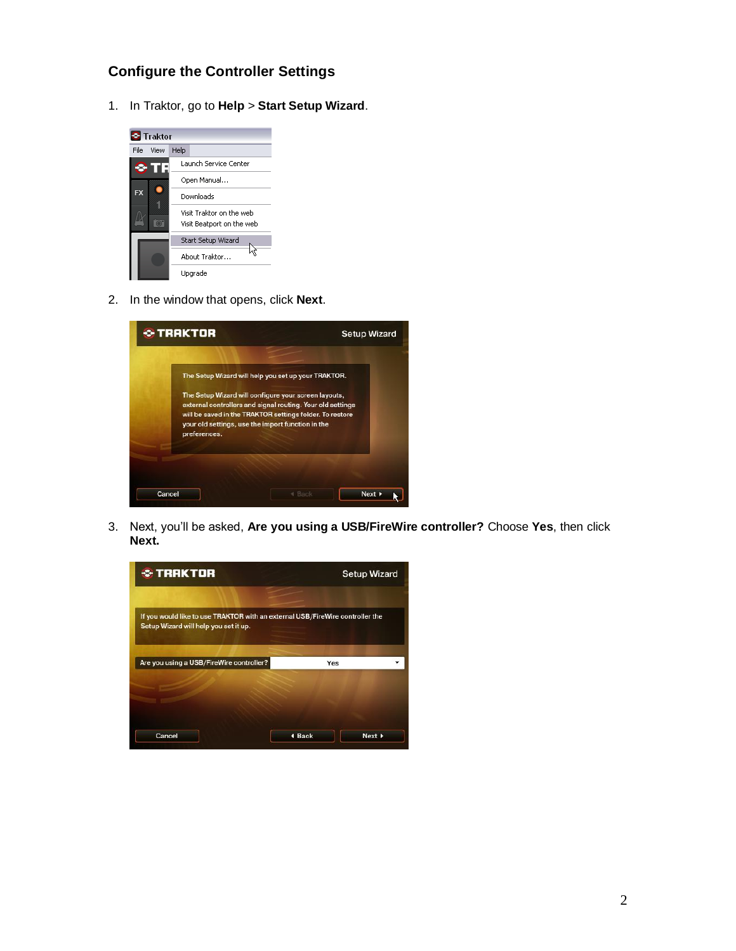# **Configure the Controller Settings**

1. In Traktor, go to **Help** > **Start Setup Wizard**.



2. In the window that opens, click **Next**.



3. Next, you'll be asked, **Are you using a USB/FireWire controller?** Choose **Yes**, then click **Next.**

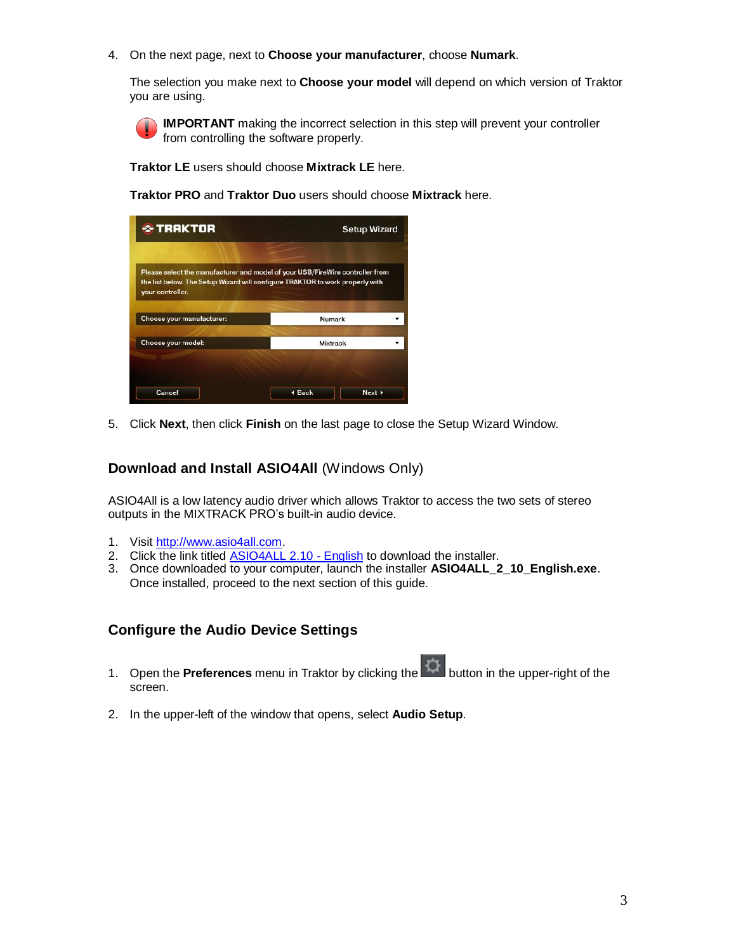4. On the next page, next to **Choose your manufacturer**, choose **Numark**.

The selection you make next to **Choose your model** will depend on which version of Traktor you are using.

**IMPORTANT** making the incorrect selection in this step will prevent your controller from controlling the software properly.

**Traktor LE** users should choose **Mixtrack LE** here.

**Traktor PRO** and **Traktor Duo** users should choose **Mixtrack** here.

| <b>C</b> TRAKTOR                                                                                                                                                                   | <b>Setup Wizard</b> |                            |  |
|------------------------------------------------------------------------------------------------------------------------------------------------------------------------------------|---------------------|----------------------------|--|
| Please select the manufacturer and model of your USB/FireWire controller from<br>the list below. The Setup Wizard will configure TRAKTOR to work properly with<br>your controller. |                     |                            |  |
| Choose your manufacturer:                                                                                                                                                          | Numark              |                            |  |
| Choose your model:                                                                                                                                                                 | <b>Mixtrack</b>     |                            |  |
|                                                                                                                                                                                    |                     |                            |  |
| Cancel                                                                                                                                                                             | 4 Back              | Next $\blacktriangleright$ |  |

5. Click **Next**, then click **Finish** on the last page to close the Setup Wizard Window.

# <span id="page-2-0"></span>**Download and Install ASIO4All** (Windows Only)

ASIO4All is a low latency audio driver which allows Traktor to access the two sets of stereo outputs in the MIXTRACK PRO's built-in audio device.

- 1. Visi[t http://www.asio4all.com.](http://www.asio4all.com/)
- 2. Click the link titled [ASIO4ALL 2.10 -](http://tippach.business.t-online.de/asio4all/downloads_1/ASIO4ALL_2_10_English.exe) English to download the installer.
- 3. Once downloaded to your computer, launch the installer **ASIO4ALL\_2\_10\_English.exe**. Once installed, proceed to the next section of this guide.

#### <span id="page-2-1"></span>**Configure the Audio Device Settings**

- 1. Open the **Preferences** menu in Traktor by clicking the **1.4 button in the upper-right of the** screen.
- 2. In the upper-left of the window that opens, select **Audio Setup**.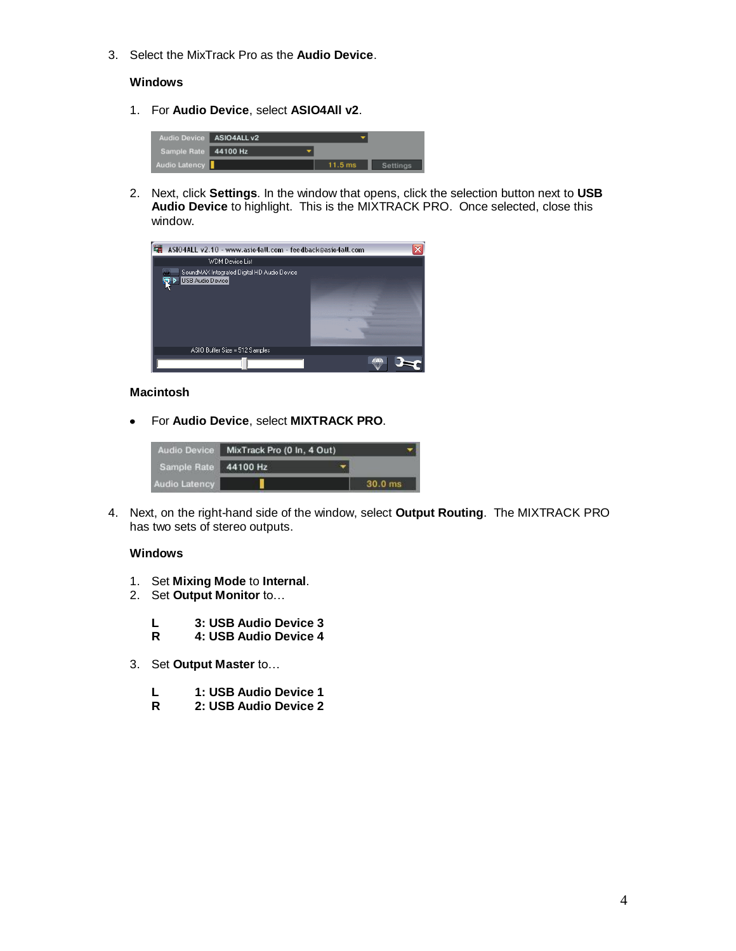3. Select the MixTrack Pro as the **Audio Device**.

#### **Windows**

1. For **Audio Device**, select **ASIO4All v2**.



2. Next, click **Settings**. In the window that opens, click the selection button next to **USB Audio Device** to highlight. This is the MIXTRACK PRO. Once selected, close this window.



#### **Macintosh**

For **Audio Device**, select **MIXTRACK PRO**.  $\bullet$ 



4. Next, on the right-hand side of the window, select **Output Routing**. The MIXTRACK PRO has two sets of stereo outputs.

#### **Windows**

- 1. Set **Mixing Mode** to **Internal**.
- 2. Set **Output Monitor** to…
	- **L 3: USB Audio Device 3**
	- **R 4: USB Audio Device 4**
- 3. Set **Output Master** to…
	- **L 1: USB Audio Device 1**
	- **R 2: USB Audio Device 2**